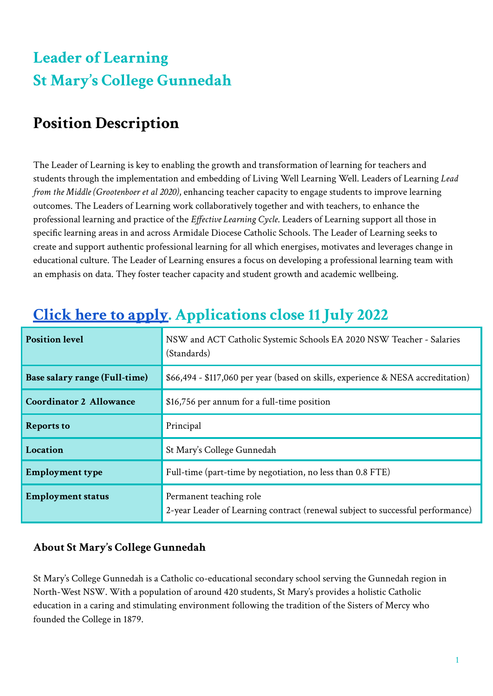# **Leader of Learning St Mary ' s College Gunnedah**

## **Position Description**

The Leader of Learning is key to enabling the growth and transformation of learning for teachers and students through the implementation and embedding of Living Well Learning Well. Leaders of Learning *Lead from the Middle (Grootenboer et al 2020)*, enhancing teacher capacity to engage students to improve learning outcomes. The Leaders of Learning work collaboratively together and with teachers, to enhance the professional learning and practice of the *Effective Learning Cycle*. Leaders of Learning support all those in specific learning areas in and across Armidale Diocese Catholic Schools. The Leader of Learning seeks to create and support authentic professional learning for all which energises, motivates and leverages change in educational culture. The Leader of Learning ensures a focus on developing a professional learning team with an emphasis on data. They foster teacher capacity and student growth and academic wellbeing.

| <b>Position level</b>          | NSW and ACT Catholic Systemic Schools EA 2020 NSW Teacher - Salaries<br>(Standards)                       |
|--------------------------------|-----------------------------------------------------------------------------------------------------------|
| Base salary range (Full-time)  | \$66,494 - \$117,060 per year (based on skills, experience & NESA accreditation)                          |
| <b>Coordinator 2 Allowance</b> | \$16,756 per annum for a full-time position                                                               |
| <b>Reports to</b>              | Principal                                                                                                 |
| Location                       | St Mary's College Gunnedah                                                                                |
| <b>Employment type</b>         | Full-time (part-time by negotiation, no less than 0.8 FTE)                                                |
| <b>Employment status</b>       | Permanent teaching role<br>2-year Leader of Learning contract (renewal subject to successful performance) |

## **Click here to [apply.](https://www.surveymonkey.com/r/DRYTLL9) Applications close 11 July 2022**

### **About St Mary's College Gunnedah**

St Mary's College Gunnedah is a Catholic co-educational secondary school serving the Gunnedah region in North-West NSW. With a population of around 420 students, St Mary's provides a holistic Catholic education in a caring and stimulating environment following the tradition of the Sisters of Mercy who founded the College in 1879.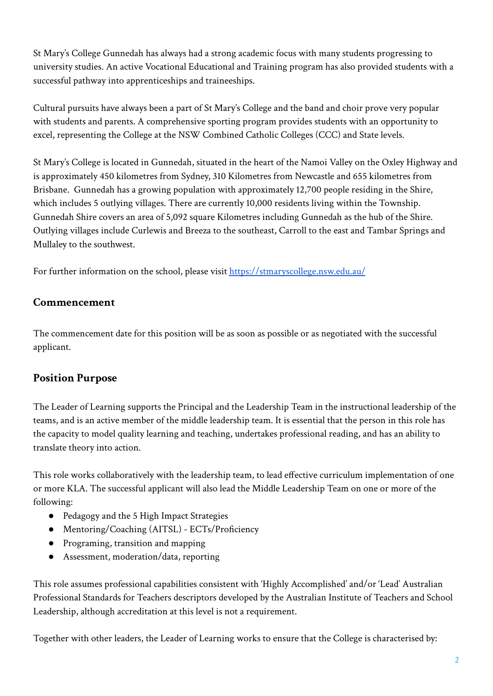St Mary's College Gunnedah has always had a strong academic focus with many students progressing to university studies. An active Vocational Educational and Training program has also provided students with a successful pathway into apprenticeships and traineeships.

Cultural pursuits have always been a part of St Mary's College and the band and choir prove very popular with students and parents. A comprehensive sporting program provides students with an opportunity to excel, representing the College at the NSW Combined Catholic Colleges (CCC) and State levels.

St Mary's College is located in Gunnedah, situated in the heart of the Namoi Valley on the Oxley Highway and is approximately 450 kilometres from Sydney, 310 Kilometres from Newcastle and 655 kilometres from Brisbane. Gunnedah has a growing population with approximately 12,700 people residing in the Shire, which includes 5 outlying villages. There are currently 10,000 residents living within the Township. Gunnedah Shire covers an area of 5,092 square Kilometres including Gunnedah as the hub of the Shire. Outlying villages include Curlewis and Breeza to the southeast, Carroll to the east and Tambar Springs and Mullaley to the southwest.

For further information on the school, please visit <https://stmaryscollege.nsw.edu.au/>

## **Commencement**

The commencement date for this position will be as soon as possible or as negotiated with the successful applicant.

## **Position Purpose**

The Leader of Learning supports the Principal and the Leadership Team in the instructional leadership of the teams, and is an active member of the middle leadership team. It is essential that the person in this role has the capacity to model quality learning and teaching, undertakes professional reading, and has an ability to translate theory into action.

This role works collaboratively with the leadership team, to lead effective curriculum implementation of one or more KLA. The successful applicant will also lead the Middle Leadership Team on one or more of the following:

- Pedagogy and the 5 High Impact Strategies
- Mentoring/Coaching (AITSL) ECTs/Proficiency
- Programing, transition and mapping
- Assessment, moderation/data, reporting

This role assumes professional capabilities consistent with 'Highly Accomplished' and/or 'Lead' Australian Professional Standards for Teachers descriptors developed by the Australian Institute of Teachers and School Leadership, although accreditation at this level is not a requirement.

Together with other leaders, the Leader of Learning works to ensure that the College is characterised by: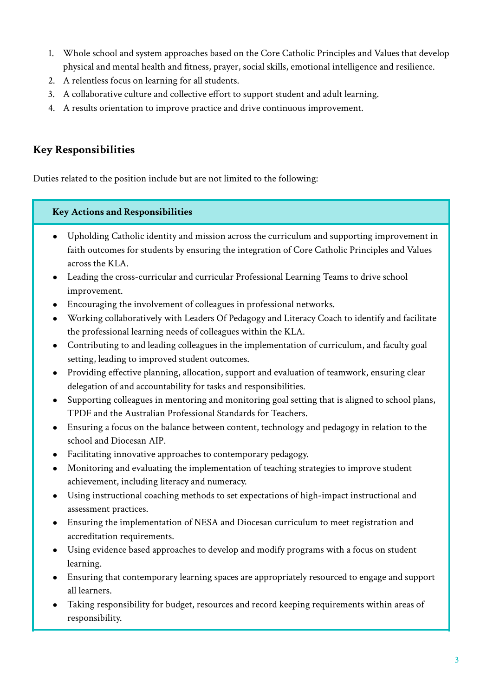- 1. Whole school and system approaches based on the Core Catholic Principles and Values that develop physical and mental health and fitness, prayer, social skills, emotional intelligence and resilience.
- 2. A relentless focus on learning for all students.
- 3. A collaborative culture and collective effort to support student and adult learning.
- 4. A results orientation to improve practice and drive continuous improvement.

## **Key Responsibilities**

Duties related to the position include but are not limited to the following:

#### **Key Actions and Responsibilities**

- Upholding Catholic identity and mission across the curriculum and supporting improvement in faith outcomes for students by ensuring the integration of Core Catholic Principles and Values across the KLA.
- Leading the cross-curricular and curricular Professional Learning Teams to drive school improvement.
- Encouraging the involvement of colleagues in professional networks.
- Working collaboratively with Leaders Of Pedagogy and Literacy Coach to identify and facilitate the professional learning needs of colleagues within the KLA.
- Contributing to and leading colleagues in the implementation of curriculum, and faculty goal setting, leading to improved student outcomes.
- Providing effective planning, allocation, support and evaluation of teamwork, ensuring clear delegation of and accountability for tasks and responsibilities.
- Supporting colleagues in mentoring and monitoring goal setting that is aligned to school plans, TPDF and the Australian Professional Standards for Teachers.
- Ensuring a focus on the balance between content, technology and pedagogy in relation to the school and Diocesan AIP.
- Facilitating innovative approaches to contemporary pedagogy.
- Monitoring and evaluating the implementation of teaching strategies to improve student achievement, including literacy and numeracy.
- Using instructional coaching methods to set expectations of high-impact instructional and assessment practices.
- Ensuring the implementation of NESA and Diocesan curriculum to meet registration and accreditation requirements.
- Using evidence based approaches to develop and modify programs with a focus on student learning.
- Ensuring that contemporary learning spaces are appropriately resourced to engage and support all learners.
- Taking responsibility for budget, resources and record keeping requirements within areas of responsibility.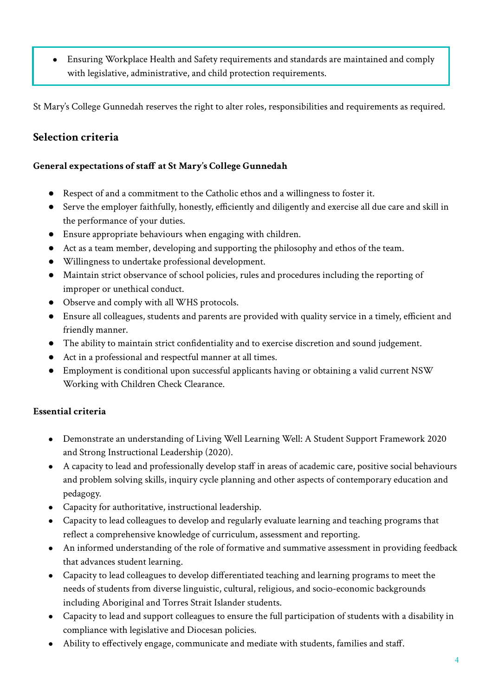● Ensuring Workplace Health and Safety requirements and standards are maintained and comply with legislative, administrative, and child protection requirements.

St Mary's College Gunnedah reserves the right to alter roles, responsibilities and requirements as required.

## **Selection criteria**

#### **General expectations of staff at St Mary's College Gunnedah**

- Respect of and a commitment to the Catholic ethos and a willingness to foster it.
- Serve the employer faithfully, honestly, efficiently and diligently and exercise all due care and skill in the performance of your duties.
- Ensure appropriate behaviours when engaging with children.
- Act as a team member, developing and supporting the philosophy and ethos of the team.
- Willingness to undertake professional development.
- Maintain strict observance of school policies, rules and procedures including the reporting of improper or unethical conduct.
- Observe and comply with all WHS protocols.
- Ensure all colleagues, students and parents are provided with quality service in a timely, efficient and friendly manner.
- The ability to maintain strict confidentiality and to exercise discretion and sound judgement.
- Act in a professional and respectful manner at all times.
- Employment is conditional upon successful applicants having or obtaining a valid current NSW Working with Children Check Clearance.

#### **Essential criteria**

- Demonstrate an understanding of Living Well Learning Well: A Student Support Framework 2020 and Strong Instructional Leadership (2020).
- A capacity to lead and professionally develop staff in areas of academic care, positive social behaviours and problem solving skills, inquiry cycle planning and other aspects of contemporary education and pedagogy.
- Capacity for authoritative, instructional leadership.
- Capacity to lead colleagues to develop and regularly evaluate learning and teaching programs that reflect a comprehensive knowledge of curriculum, assessment and reporting.
- An informed understanding of the role of formative and summative assessment in providing feedback that advances student learning.
- Capacity to lead colleagues to develop differentiated teaching and learning programs to meet the needs of students from diverse linguistic, cultural, religious, and socio-economic backgrounds including Aboriginal and Torres Strait Islander students.
- Capacity to lead and support colleagues to ensure the full participation of students with a disability in compliance with legislative and Diocesan policies.
- Ability to effectively engage, communicate and mediate with students, families and staff.